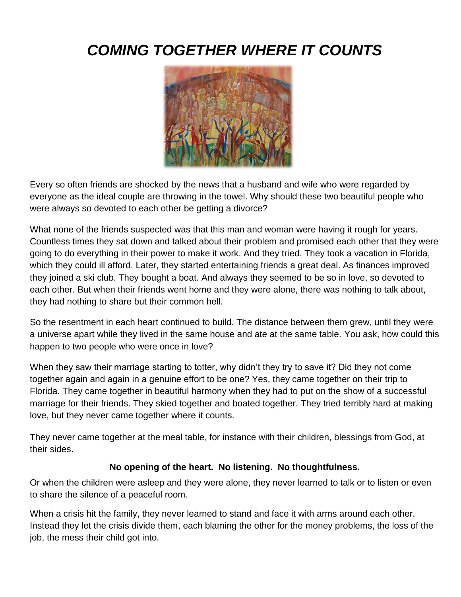# *COMING TOGETHER WHERE IT COUNTS*



Every so often friends are shocked by the news that a husband and wife who were regarded by everyone as the ideal couple are throwing in the towel. Why should these two beautiful people who were always so devoted to each other be getting a divorce?

What none of the friends suspected was that this man and woman were having it rough for years. Countless times they sat down and talked about their problem and promised each other that they were going to do everything in their power to make it work. And they tried. They took a vacation in Florida, which they could ill afford. Later, they started entertaining friends a great deal. As finances improved they joined a ski club. They bought a boat. And always they seemed to be so in love, so devoted to each other. But when their friends went home and they were alone, there was nothing to talk about, they had nothing to share but their common hell.

So the resentment in each heart continued to build. The distance between them grew, until they were a universe apart while they lived in the same house and ate at the same table. You ask, how could this happen to two people who were once in love?

When they saw their marriage starting to totter, why didn't they try to save it? Did they not come together again and again in a genuine effort to be one? Yes, they came together on their trip to Florida. They came together in beautiful harmony when they had to put on the show of a successful marriage for their friends. They skied together and boated together. They tried terribly hard at making love, but they never came together where it counts.

They never came together at the meal table, for instance with their children, blessings from God, at their sides.

#### **No opening of the heart. No listening. No thoughtfulness.**

Or when the children were asleep and they were alone, they never learned to talk or to listen or even to share the silence of a peaceful room.

When a crisis hit the family, they never learned to stand and face it with arms around each other. Instead they let the crisis divide them, each blaming the other for the money problems, the loss of the job, the mess their child got into.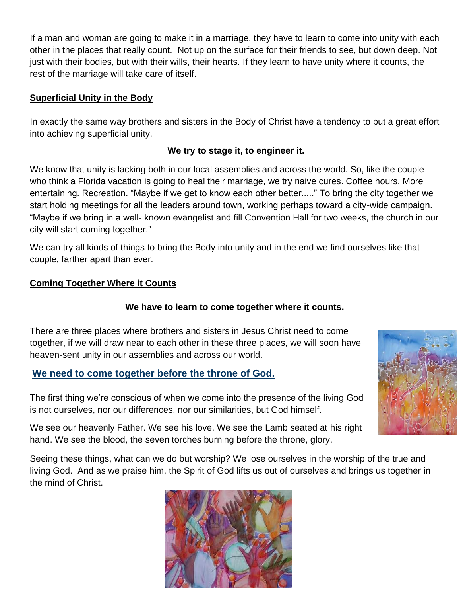If a man and woman are going to make it in a marriage, they have to learn to come into unity with each other in the places that really count. Not up on the surface for their friends to see, but down deep. Not just with their bodies, but with their wills, their hearts. If they learn to have unity where it counts, the rest of the marriage will take care of itself.

#### **Superficial Unity in the Body**

In exactly the same way brothers and sisters in the Body of Christ have a tendency to put a great effort into achieving superficial unity.

#### **We try to stage it, to engineer it.**

We know that unity is lacking both in our local assemblies and across the world. So, like the couple who think a Florida vacation is going to heal their marriage, we try naive cures. Coffee hours. More entertaining. Recreation. "Maybe if we get to know each other better....." To bring the city together we start holding meetings for all the leaders around town, working perhaps toward a city-wide campaign. "Maybe if we bring in a well- known evangelist and fill Convention Hall for two weeks, the church in our city will start coming together."

We can try all kinds of things to bring the Body into unity and in the end we find ourselves like that couple, farther apart than ever.

#### **Coming Together Where it Counts**

#### **We have to learn to come together where it counts.**

There are three places where brothers and sisters in Jesus Christ need to come together, if we will draw near to each other in these three places, we will soon have heaven-sent unity in our assemblies and across our world.

#### **We need to come together before the throne of God.**



The first thing we're conscious of when we come into the presence of the living God is not ourselves, nor our differences, nor our similarities, but God himself.

We see our heavenly Father. We see his love. We see the Lamb seated at his right hand. We see the blood, the seven torches burning before the throne, glory.

Seeing these things, what can we do but worship? We lose ourselves in the worship of the true and living God. And as we praise him, the Spirit of God lifts us out of ourselves and brings us together in the mind of Christ.

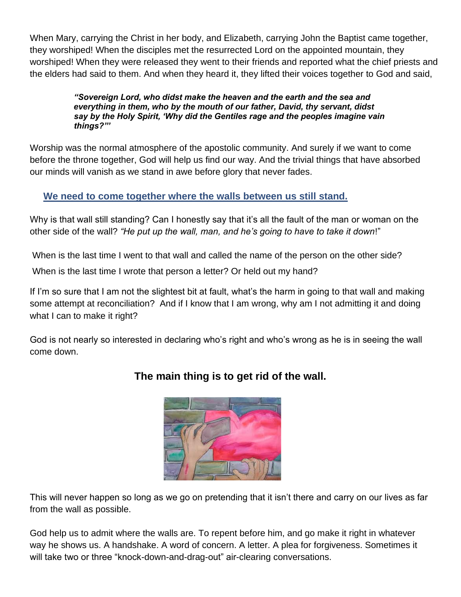When Mary, carrying the Christ in her body, and Elizabeth, carrying John the Baptist came together, they worshiped! When the disciples met the resurrected Lord on the appointed mountain, they worshiped! When they were released they went to their friends and reported what the chief priests and the elders had said to them. And when they heard it, they lifted their voices together to God and said,

> *"Sovereign Lord, who didst make the heaven and the earth and the sea and everything in them, who by the mouth of our father, David, thy servant, didst say by the Holy Spirit, 'Why did the Gentiles rage and the peoples imagine vain things?"'*

Worship was the normal atmosphere of the apostolic community. And surely if we want to come before the throne together, God will help us find our way. And the trivial things that have absorbed our minds will vanish as we stand in awe before glory that never fades.

## **We need to come together where the walls between us still stand.**

Why is that wall still standing? Can I honestly say that it's all the fault of the man or woman on the other side of the wall? *"He put up the wall, man, and he's going to have to take it down*!"

When is the last time I went to that wall and called the name of the person on the other side?

When is the last time I wrote that person a letter? Or held out my hand?

If I'm so sure that I am not the slightest bit at fault, what's the harm in going to that wall and making some attempt at reconciliation? And if I know that I am wrong, why am I not admitting it and doing what I can to make it right?

God is not nearly so interested in declaring who's right and who's wrong as he is in seeing the wall come down.



# **The main thing is to get rid of the wall.**

This will never happen so long as we go on pretending that it isn't there and carry on our lives as far from the wall as possible.

God help us to admit where the walls are. To repent before him, and go make it right in whatever way he shows us. A handshake. A word of concern. A letter. A plea for forgiveness. Sometimes it will take two or three "knock-down-and-drag-out" air-clearing conversations.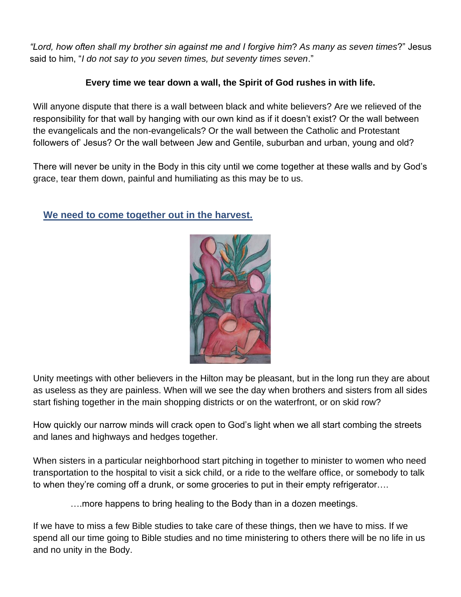*"Lord, how often shall my brother sin against me and I forgive him*? *As many as seven times*?" Jesus said to him, "*I do not say to you seven times, but seventy times seven*."

### **Every time we tear down a wall, the Spirit of God rushes in with life.**

Will anyone dispute that there is a wall between black and white believers? Are we relieved of the responsibility for that wall by hanging with our own kind as if it doesn't exist? Or the wall between the evangelicals and the non-evangelicals? Or the wall between the Catholic and Protestant followers of' Jesus? Or the wall between Jew and Gentile, suburban and urban, young and old?

There will never be unity in the Body in this city until we come together at these walls and by God's grace, tear them down, painful and humiliating as this may be to us.

## **We need to come together out in the harvest.**



Unity meetings with other believers in the Hilton may be pleasant, but in the long run they are about as useless as they are painless. When will we see the day when brothers and sisters from all sides start fishing together in the main shopping districts or on the waterfront, or on skid row?

How quickly our narrow minds will crack open to God's light when we all start combing the streets and lanes and highways and hedges together.

When sisters in a particular neighborhood start pitching in together to minister to women who need transportation to the hospital to visit a sick child, or a ride to the welfare office, or somebody to talk to when they're coming off a drunk, or some groceries to put in their empty refrigerator….

….more happens to bring healing to the Body than in a dozen meetings.

If we have to miss a few Bible studies to take care of these things, then we have to miss. If we spend all our time going to Bible studies and no time ministering to others there will be no life in us and no unity in the Body.